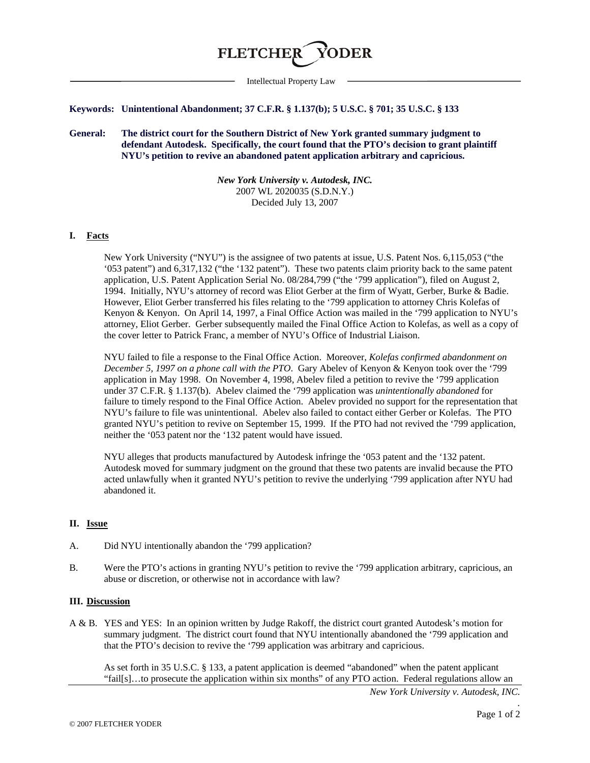

Intellectual Property Law

### **Keywords: Unintentional Abandonment; 37 C.F.R. § 1.137(b); 5 U.S.C. § 701; 35 U.S.C. § 133**

**General: The district court for the Southern District of New York granted summary judgment to defendant Autodesk. Specifically, the court found that the PTO's decision to grant plaintiff NYU's petition to revive an abandoned patent application arbitrary and capricious.** 

> *New York University v. Autodesk, INC.* 2007 WL 2020035 (S.D.N.Y.) Decided July 13, 2007

# **I. Facts**

New York University ("NYU") is the assignee of two patents at issue, U.S. Patent Nos. 6,115,053 ("the '053 patent") and 6,317,132 ("the '132 patent"). These two patents claim priority back to the same patent application, U.S. Patent Application Serial No. 08/284,799 ("the '799 application"), filed on August 2, 1994. Initially, NYU's attorney of record was Eliot Gerber at the firm of Wyatt, Gerber, Burke & Badie. However, Eliot Gerber transferred his files relating to the '799 application to attorney Chris Kolefas of Kenyon & Kenyon. On April 14, 1997, a Final Office Action was mailed in the '799 application to NYU's attorney, Eliot Gerber. Gerber subsequently mailed the Final Office Action to Kolefas, as well as a copy of the cover letter to Patrick Franc, a member of NYU's Office of Industrial Liaison.

NYU failed to file a response to the Final Office Action. Moreover, *Kolefas confirmed abandonment on December 5, 1997 on a phone call with the PTO*. Gary Abelev of Kenyon & Kenyon took over the '799 application in May 1998. On November 4, 1998, Abelev filed a petition to revive the '799 application under 37 C.F.R. § 1.137(b). Abelev claimed the '799 application was *unintentionally abandoned* for failure to timely respond to the Final Office Action. Abelev provided no support for the representation that NYU's failure to file was unintentional. Abelev also failed to contact either Gerber or Kolefas. The PTO granted NYU's petition to revive on September 15, 1999. If the PTO had not revived the '799 application, neither the '053 patent nor the '132 patent would have issued.

NYU alleges that products manufactured by Autodesk infringe the '053 patent and the '132 patent. Autodesk moved for summary judgment on the ground that these two patents are invalid because the PTO acted unlawfully when it granted NYU's petition to revive the underlying '799 application after NYU had abandoned it.

### **II. Issue**

- A. Did NYU intentionally abandon the '799 application?
- B. Were the PTO's actions in granting NYU's petition to revive the '799 application arbitrary, capricious, an abuse or discretion, or otherwise not in accordance with law?

### **III. Discussion**

A & B. YES and YES: In an opinion written by Judge Rakoff, the district court granted Autodesk's motion for summary judgment. The district court found that NYU intentionally abandoned the '799 application and that the PTO's decision to revive the '799 application was arbitrary and capricious.

As set forth in 35 U.S.C. § 133, a patent application is deemed "abandoned" when the patent applicant "fail[s]…to prosecute the application within six months" of any PTO action. Federal regulations allow an

*New York University v. Autodesk, INC.*

*.*